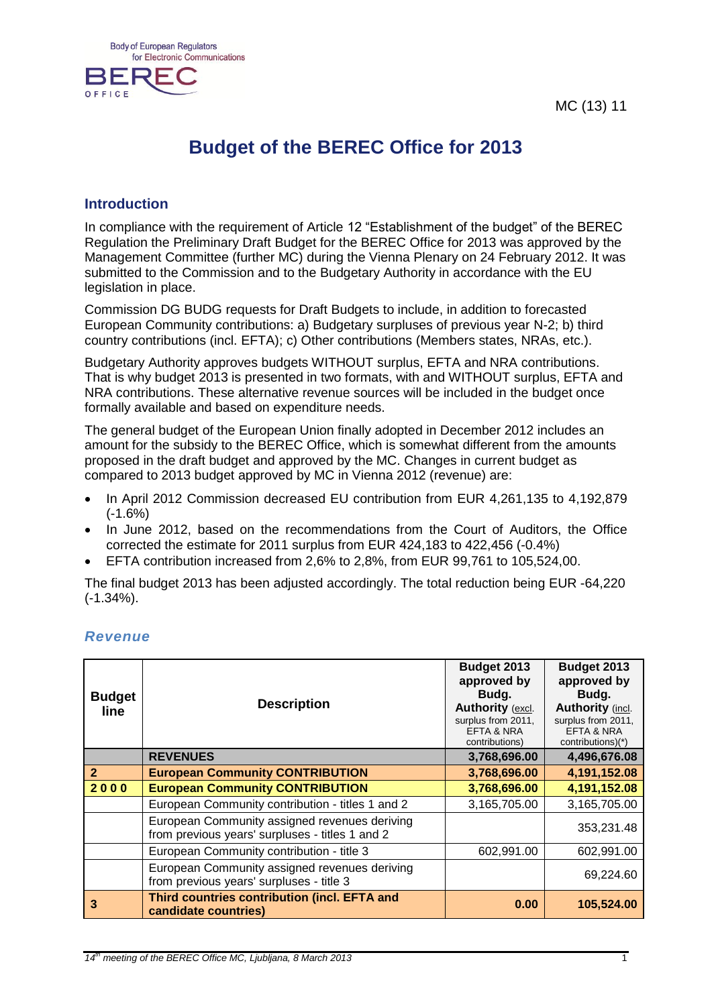MC (13) 11



## **Budget of the BEREC Office for 2013**

## **Introduction**

In compliance with the requirement of Article 12 "Establishment of the budget" of the BEREC Regulation the Preliminary Draft Budget for the BEREC Office for 2013 was approved by the Management Committee (further MC) during the Vienna Plenary on 24 February 2012. It was submitted to the Commission and to the Budgetary Authority in accordance with the EU legislation in place.

Commission DG BUDG requests for Draft Budgets to include, in addition to forecasted European Community contributions: a) Budgetary surpluses of previous year N-2; b) third country contributions (incl. EFTA); c) Other contributions (Members states, NRAs, etc.).

Budgetary Authority approves budgets WITHOUT surplus, EFTA and NRA contributions. That is why budget 2013 is presented in two formats, with and WITHOUT surplus, EFTA and NRA contributions. These alternative revenue sources will be included in the budget once formally available and based on expenditure needs.

The general budget of the European Union finally adopted in December 2012 includes an amount for the subsidy to the BEREC Office, which is somewhat different from the amounts proposed in the draft budget and approved by the MC. Changes in current budget as compared to 2013 budget approved by MC in Vienna 2012 (revenue) are:

- In April 2012 Commission decreased EU contribution from EUR 4,261,135 to 4,192,879  $(-1.6%)$
- In June 2012, based on the recommendations from the Court of Auditors, the Office corrected the estimate for 2011 surplus from EUR 424,183 to 422,456 (-0.4%)
- EFTA contribution increased from 2,6% to 2,8%, from EUR 99,761 to 105,524,00.

The final budget 2013 has been adjusted accordingly. The total reduction being EUR -64,220 (-1.34%).

| <b>Budget</b><br>line. | <b>Description</b>                                                                               | Budget 2013<br>approved by<br>Budg.<br>Authority (excl.<br>surplus from 2011,<br>EFTA & NRA<br>contributions) | Budget 2013<br>approved by<br>Budg.<br><b>Authority (incl.</b><br>surplus from 2011,<br><b>EFTA &amp; NRA</b><br>contributions)(*) |
|------------------------|--------------------------------------------------------------------------------------------------|---------------------------------------------------------------------------------------------------------------|------------------------------------------------------------------------------------------------------------------------------------|
|                        | <b>REVENUES</b>                                                                                  | 3,768,696.00                                                                                                  | 4,496,676.08                                                                                                                       |
| $\overline{2}$         | <b>European Community CONTRIBUTION</b>                                                           | 3,768,696.00                                                                                                  | 4,191,152.08                                                                                                                       |
| 2000                   | <b>European Community CONTRIBUTION</b>                                                           | 3,768,696.00                                                                                                  | 4,191,152.08                                                                                                                       |
|                        | European Community contribution - titles 1 and 2                                                 | 3,165,705.00                                                                                                  | 3,165,705.00                                                                                                                       |
|                        | European Community assigned revenues deriving<br>from previous years' surpluses - titles 1 and 2 |                                                                                                               | 353,231.48                                                                                                                         |
|                        | European Community contribution - title 3                                                        | 602,991.00                                                                                                    | 602,991.00                                                                                                                         |
|                        | European Community assigned revenues deriving<br>from previous years' surpluses - title 3        |                                                                                                               | 69,224.60                                                                                                                          |
| 3                      | Third countries contribution (incl. EFTA and<br>candidate countries)                             | 0.00                                                                                                          | 105,524.00                                                                                                                         |

## *Revenue*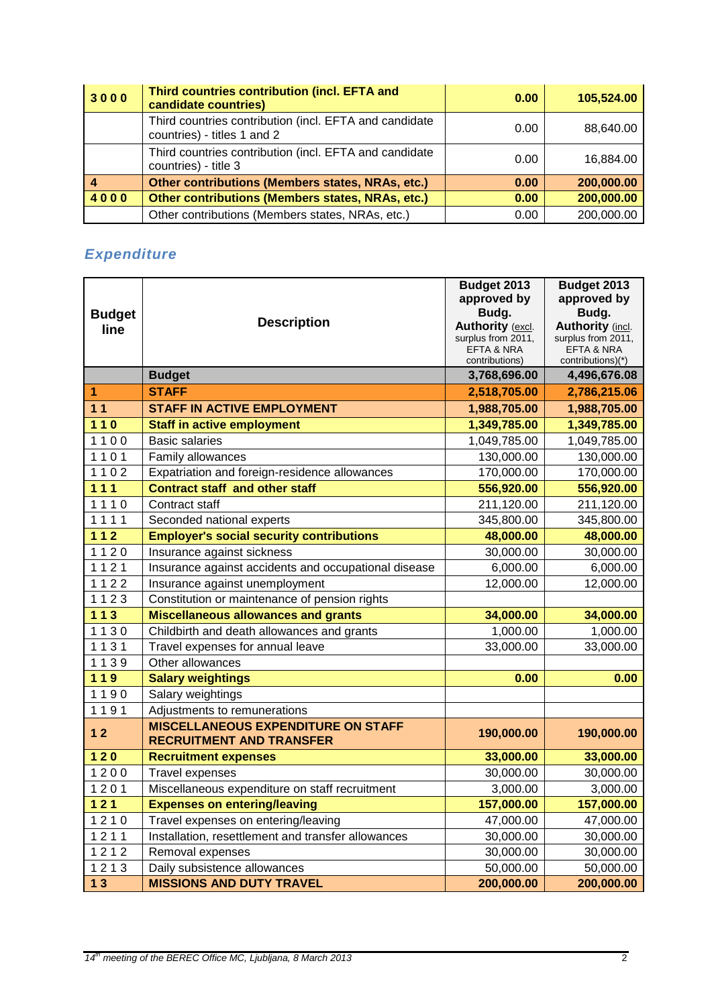| 3000 | Third countries contribution (incl. EFTA and<br>candidate countries)                  | 0.00 | 105,524.00 |
|------|---------------------------------------------------------------------------------------|------|------------|
|      | Third countries contribution (incl. EFTA and candidate<br>countries) - titles 1 and 2 | 0.00 | 88,640.00  |
|      | Third countries contribution (incl. EFTA and candidate<br>countries) - title 3        | 0.00 | 16,884.00  |
|      | Other contributions (Members states, NRAs, etc.)                                      | 0.00 | 200,000.00 |
| 4000 | Other contributions (Members states, NRAs, etc.)                                      | 0.00 | 200,000.00 |
|      | Other contributions (Members states, NRAs, etc.)                                      | 0.00 | 200,000.00 |

## *Expenditure*

| <b>Budget</b><br>line | <b>Description</b>                                                           | Budget 2013<br>approved by<br>Budg.<br>Authority (excl. | Budget 2013<br>approved by<br>Budg.<br><b>Authority (incl.</b> |
|-----------------------|------------------------------------------------------------------------------|---------------------------------------------------------|----------------------------------------------------------------|
|                       |                                                                              | surplus from 2011,<br>EFTA & NRA                        | surplus from 2011,                                             |
|                       |                                                                              | contributions)                                          | <b>EFTA &amp; NRA</b><br>contributions)(*)                     |
|                       | <b>Budget</b>                                                                | 3,768,696.00                                            | 4,496,676.08                                                   |
| 1                     | <b>STAFF</b>                                                                 | 2,518,705.00                                            | 2,786,215.06                                                   |
| 11                    | <b>STAFF IN ACTIVE EMPLOYMENT</b>                                            | 1,988,705.00                                            | 1,988,705.00                                                   |
| $110$                 | <b>Staff in active employment</b>                                            | 1,349,785.00                                            | 1,349,785.00                                                   |
| 1100                  | <b>Basic salaries</b>                                                        | 1,049,785.00                                            | 1,049,785.00                                                   |
| 1101                  | Family allowances                                                            | 130,000.00                                              | 130,000.00                                                     |
| 1102                  | Expatriation and foreign-residence allowances                                | 170,000.00                                              | 170,000.00                                                     |
| 111                   | <b>Contract staff and other staff</b>                                        | 556,920.00                                              | 556,920.00                                                     |
| 1110                  | Contract staff                                                               | 211,120.00                                              | 211,120.00                                                     |
| 1111                  | Seconded national experts                                                    | 345,800.00                                              | 345,800.00                                                     |
| $112$                 | <b>Employer's social security contributions</b>                              | 48,000.00                                               | 48,000.00                                                      |
| 1120                  | Insurance against sickness                                                   | 30,000.00                                               | 30,000.00                                                      |
| 1121                  | Insurance against accidents and occupational disease                         | 6,000.00                                                | 6,000.00                                                       |
| 1122                  | Insurance against unemployment                                               | 12,000.00                                               | 12,000.00                                                      |
| 1123                  | Constitution or maintenance of pension rights                                |                                                         |                                                                |
| $113$                 | <b>Miscellaneous allowances and grants</b>                                   | 34,000.00                                               | 34,000.00                                                      |
| 1130                  | Childbirth and death allowances and grants                                   | 1,000.00                                                | 1,000.00                                                       |
| 1131                  | Travel expenses for annual leave                                             | 33,000.00                                               | 33,000.00                                                      |
| 1139                  | Other allowances                                                             |                                                         |                                                                |
| $119$                 | <b>Salary weightings</b>                                                     | 0.00                                                    | 0.00                                                           |
| 1190                  | Salary weightings                                                            |                                                         |                                                                |
| 1191                  | Adjustments to remunerations                                                 |                                                         |                                                                |
| 12                    | <b>MISCELLANEOUS EXPENDITURE ON STAFF</b><br><b>RECRUITMENT AND TRANSFER</b> | 190,000.00                                              | 190,000.00                                                     |
| $120$                 | <b>Recruitment expenses</b>                                                  | 33,000.00                                               | 33,000.00                                                      |
| 1200                  | Travel expenses                                                              | 30,000.00                                               | 30,000.00                                                      |
| 1201                  | Miscellaneous expenditure on staff recruitment                               | 3,000.00                                                | 3,000.00                                                       |
| $\overline{121}$      | <b>Expenses on entering/leaving</b>                                          | 157,000.00                                              | 157,000.00                                                     |
| 1210                  | Travel expenses on entering/leaving                                          | 47,000.00                                               | 47,000.00                                                      |
| 1211                  | Installation, resettlement and transfer allowances                           | 30,000.00                                               | 30,000.00                                                      |
| 1212                  | Removal expenses                                                             | 30,000.00                                               | 30,000.00                                                      |
| 1213                  | Daily subsistence allowances                                                 | 50,000.00                                               | 50,000.00                                                      |
| 13                    | <b>MISSIONS AND DUTY TRAVEL</b>                                              | 200,000.00                                              | 200,000.00                                                     |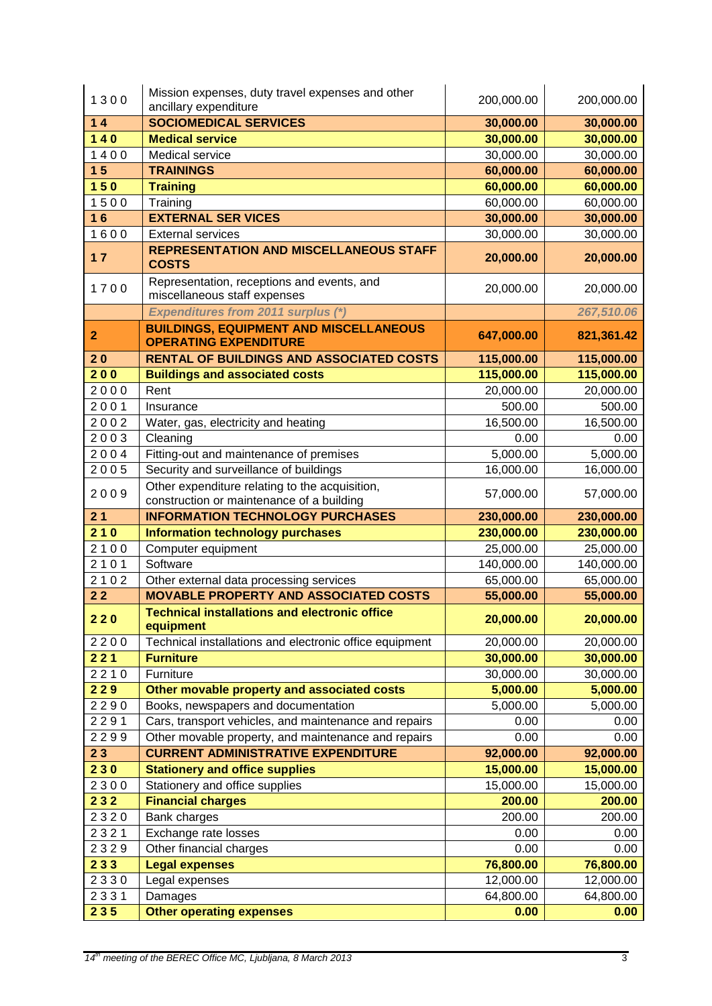| 1300           | Mission expenses, duty travel expenses and other<br>ancillary expenditure                   | 200,000.00        | 200,000.00        |
|----------------|---------------------------------------------------------------------------------------------|-------------------|-------------------|
| 14             | <b>SOCIOMEDICAL SERVICES</b>                                                                | 30,000.00         | 30,000.00         |
| $140$          | <b>Medical service</b>                                                                      | 30,000.00         | 30,000.00         |
| 1400           | Medical service                                                                             | 30,000.00         | 30,000.00         |
| 1 <sub>5</sub> | <b>TRAININGS</b>                                                                            | 60,000.00         | 60,000.00         |
| 150            | <b>Training</b>                                                                             | 60,000.00         | 60,000.00         |
| 1500           | Training                                                                                    | 60,000.00         | 60,000.00         |
| 16             | <b>EXTERNAL SER VICES</b>                                                                   | 30,000.00         | 30,000.00         |
| 1600           | <b>External services</b>                                                                    | 30,000.00         | 30,000.00         |
| 17             | <b>REPRESENTATION AND MISCELLANEOUS STAFF</b><br><b>COSTS</b>                               | 20,000.00         | 20,000.00         |
| 1700           | Representation, receptions and events, and<br>miscellaneous staff expenses                  | 20,000.00         | 20,000.00         |
|                | <b>Expenditures from 2011 surplus (*)</b>                                                   |                   | 267,510.06        |
| $\overline{2}$ | <b>BUILDINGS, EQUIPMENT AND MISCELLANEOUS</b><br><b>OPERATING EXPENDITURE</b>               | 647,000.00        | 821,361.42        |
| 20             | <b>RENTAL OF BUILDINGS AND ASSOCIATED COSTS</b>                                             | 115,000.00        | 115,000.00        |
| 200            | <b>Buildings and associated costs</b>                                                       | 115,000.00        | 115,000.00        |
| 2000           | Rent                                                                                        | 20,000.00         | 20,000.00         |
| 2001           | Insurance                                                                                   | 500.00            | 500.00            |
| 2002           | Water, gas, electricity and heating                                                         | 16,500.00         | 16,500.00         |
| 2003           | Cleaning                                                                                    | 0.00              | 0.00              |
| 2004           | Fitting-out and maintenance of premises                                                     | 5,000.00          | 5,000.00          |
| 2005           | Security and surveillance of buildings                                                      | 16,000.00         | 16,000.00         |
| 2009           | Other expenditure relating to the acquisition,<br>construction or maintenance of a building | 57,000.00         | 57,000.00         |
| 21             | <b>INFORMATION TECHNOLOGY PURCHASES</b>                                                     | 230,000.00        | 230,000.00        |
| 210            | <b>Information technology purchases</b>                                                     | 230,000.00        | 230,000.00        |
|                |                                                                                             |                   |                   |
| 2100           | Computer equipment                                                                          | 25,000.00         | 25,000.00         |
| 2101           | Software                                                                                    | 140,000.00        | 140,000.00        |
| 2102           | Other external data processing services                                                     | 65,000.00         | 65,000.00         |
| 22             | <b>MOVABLE PROPERTY AND ASSOCIATED COSTS</b>                                                | 55,000.00         | 55,000.00         |
| 220            | <b>Technical installations and electronic office</b><br>equipment                           | 20,000.00         | 20,000.00         |
| 2200           | Technical installations and electronic office equipment                                     | 20,000.00         | 20,000.00         |
| 221            | <b>Furniture</b>                                                                            | 30,000.00         | 30,000.00         |
| 2210           | Furniture                                                                                   | 30,000.00         | 30,000.00         |
| 229            | Other movable property and associated costs                                                 | 5,000.00          | 5,000.00          |
| 2290           | Books, newspapers and documentation                                                         | 5,000.00          | 5,000.00          |
| 2291           | Cars, transport vehicles, and maintenance and repairs                                       | 0.00              | 0.00              |
| 2299           | Other movable property, and maintenance and repairs                                         | 0.00              | 0.00              |
| 23             | <b>CURRENT ADMINISTRATIVE EXPENDITURE</b>                                                   | 92,000.00         | 92,000.00         |
| 230            | <b>Stationery and office supplies</b>                                                       | 15,000.00         | 15,000.00         |
| 2300           | Stationery and office supplies                                                              | 15,000.00         | 15,000.00         |
| 232            | <b>Financial charges</b>                                                                    | 200.00            | 200.00            |
| 2320           | Bank charges                                                                                | 200.00            | 200.00            |
| 2321           | Exchange rate losses                                                                        | 0.00              | 0.00              |
| 2329           | Other financial charges                                                                     | 0.00              | 0.00              |
| 233            | <b>Legal expenses</b>                                                                       | 76,800.00         | 76,800.00         |
| 2330           | Legal expenses                                                                              | 12,000.00         | 12,000.00         |
| 2331<br>235    | Damages<br><b>Other operating expenses</b>                                                  | 64,800.00<br>0.00 | 64,800.00<br>0.00 |